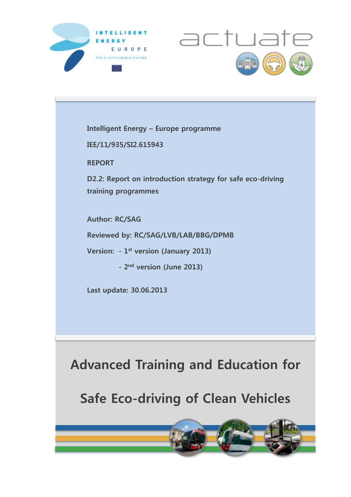



**Intelligent Energy – Europe programme**

**IEE/11/935/SI2.615943**

**REPORT**

**D2.2: Report on introduction strategy for safe eco-driving training programmes**

**Author: RC/SAG**

**Reviewed by: RC/SAG/LVB/LAB/BBG/DPMB** 

**Version: - 1 st version (January 2013)**

**- 2 nd version (June 2013)**

**Last update: 30.06.2013**

**Advanced Training and Education for**

**Safe Eco-driving of Clean Vehicles**

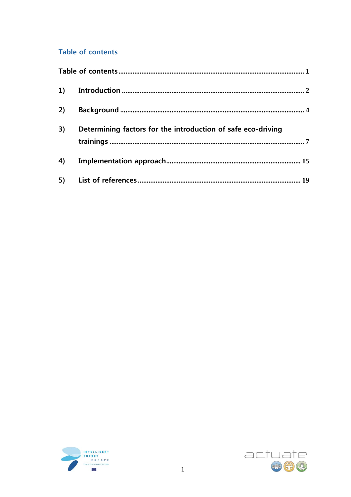# <span id="page-1-0"></span>**Table of contents**

| 2) |                                                              |  |
|----|--------------------------------------------------------------|--|
| 3) | Determining factors for the introduction of safe eco-driving |  |
|    |                                                              |  |
|    |                                                              |  |



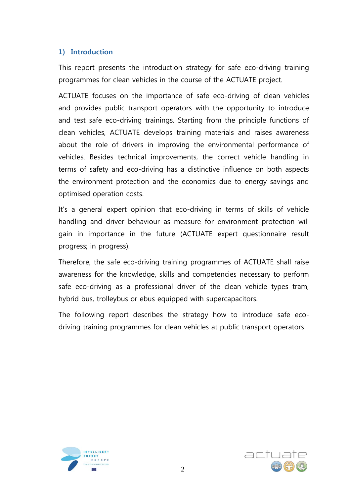### <span id="page-2-0"></span>**1) Introduction**

This report presents the introduction strategy for safe eco-driving training programmes for clean vehicles in the course of the ACTUATE project.

ACTUATE focuses on the importance of safe eco-driving of clean vehicles and provides public transport operators with the opportunity to introduce and test safe eco-driving trainings. Starting from the principle functions of clean vehicles, ACTUATE develops training materials and raises awareness about the role of drivers in improving the environmental performance of vehicles. Besides technical improvements, the correct vehicle handling in terms of safety and eco-driving has a distinctive influence on both aspects the environment protection and the economics due to energy savings and optimised operation costs.

It's a general expert opinion that eco-driving in terms of skills of vehicle handling and driver behaviour as measure for environment protection will gain in importance in the future (ACTUATE expert questionnaire result progress; in progress).

Therefore, the safe eco-driving training programmes of ACTUATE shall raise awareness for the knowledge, skills and competencies necessary to perform safe eco-driving as a professional driver of the clean vehicle types tram, hybrid bus, trolleybus or ebus equipped with supercapacitors.

The following report describes the strategy how to introduce safe ecodriving training programmes for clean vehicles at public transport operators.



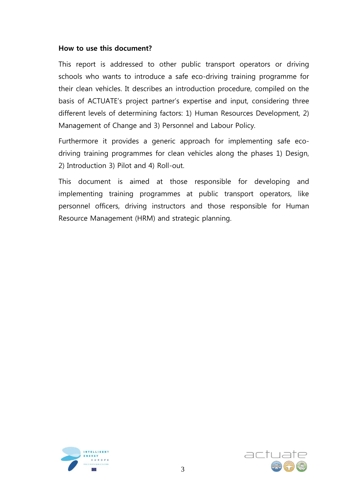### **How to use this document?**

This report is addressed to other public transport operators or driving schools who wants to introduce a safe eco-driving training programme for their clean vehicles. It describes an introduction procedure, compiled on the basis of ACTUATE's project partner's expertise and input, considering three different levels of determining factors: 1) Human Resources Development, 2) Management of Change and 3) Personnel and Labour Policy.

Furthermore it provides a generic approach for implementing safe ecodriving training programmes for clean vehicles along the phases 1) Design, 2) Introduction 3) Pilot and 4) Roll-out.

This document is aimed at those responsible for developing and implementing training programmes at public transport operators, like personnel officers, driving instructors and those responsible for Human Resource Management (HRM) and strategic planning.



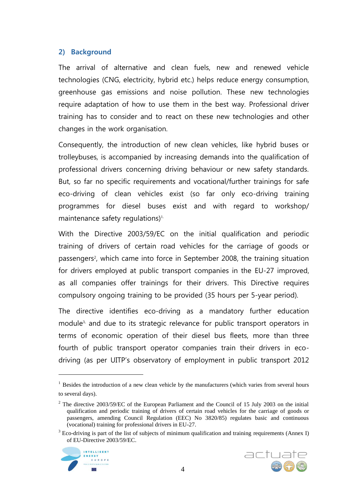### <span id="page-4-0"></span>**2) Background**

The arrival of alternative and clean fuels, new and renewed vehicle technologies (CNG, electricity, hybrid etc.) helps reduce energy consumption, greenhouse gas emissions and noise pollution. These new technologies require adaptation of how to use them in the best way. Professional driver training has to consider and to react on these new technologies and other changes in the work organisation.

Consequently, the introduction of new clean vehicles, like hybrid buses or trolleybuses, is accompanied by increasing demands into the qualification of professional drivers concerning driving behaviour or new safety standards. But, so far no specific requirements and vocational/further trainings for safe eco-driving of clean vehicles exist (so far only eco-driving training programmes for diesel buses exist and with regard to workshop/ maintenance safety regulations) $1$ .

With the Directive 2003/59/EC on the initial qualification and periodic training of drivers of certain road vehicles for the carriage of goods or passengers<sup>2</sup> , which came into force in September 2008, the training situation for drivers employed at public transport companies in the EU-27 improved, as all companies offer trainings for their drivers. This Directive requires compulsory ongoing training to be provided (35 hours per 5-year period).

The directive identifies eco-driving as a mandatory further education module<sup>3,</sup> and due to its strategic relevance for public transport operators in terms of economic operation of their diesel bus fleets, more than three fourth of public transport operator companies train their drivers in ecodriving (as per UITP's observatory of employment in public transport 2012

 $3$  Eco-driving is part of the list of subjects of minimum qualification and training requirements (Annex I) of EU-Directive 2003/59/EC.



 $\overline{a}$ 



 $<sup>1</sup>$  Besides the introduction of a new clean vehicle by the manufacturers (which varies from several hours</sup> to several days).

<sup>&</sup>lt;sup>2</sup> The directive 2003/59/EC of the European Parliament and the Council of 15 July 2003 on the initial qualification and periodic training of drivers of certain road vehicles for the carriage of goods or passengers, amending Council Regulation (EEC) No 3820/85) regulates basic and continuous (vocational) training for professional drivers in EU-27.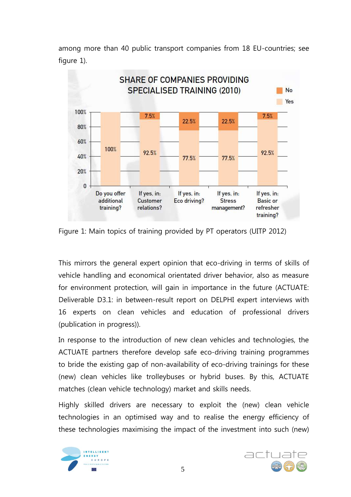among more than 40 public transport companies from 18 EU-countries; see figure 1).



Figure 1: Main topics of training provided by PT operators (UITP 2012)

This mirrors the general expert opinion that eco-driving in terms of skills of vehicle handling and economical orientated driver behavior, also as measure for environment protection, will gain in importance in the future (ACTUATE: Deliverable D3.1: in between-result report on DELPHI expert interviews with 16 experts on clean vehicles and education of professional drivers (publication in progress)).

In response to the introduction of new clean vehicles and technologies, the ACTUATE partners therefore develop safe eco-driving training programmes to bride the existing gap of non-availability of eco-driving trainings for these (new) clean vehicles like trolleybuses or hybrid buses. By this, ACTUATE matches (clean vehicle technology) market and skills needs.

Highly skilled drivers are necessary to exploit the (new) clean vehicle technologies in an optimised way and to realise the energy efficiency of these technologies maximising the impact of the investment into such (new)



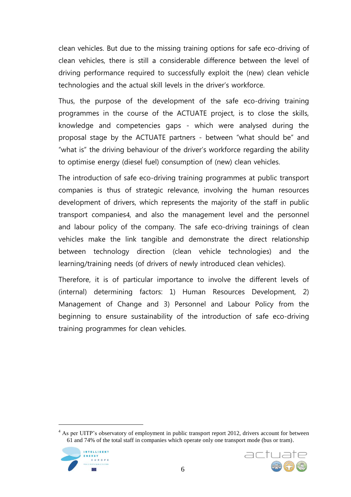clean vehicles. But due to the missing training options for safe eco-driving of clean vehicles, there is still a considerable difference between the level of driving performance required to successfully exploit the (new) clean vehicle technologies and the actual skill levels in the driver's workforce.

Thus, the purpose of the development of the safe eco-driving training programmes in the course of the ACTUATE project, is to close the skills, knowledge and competencies gaps - which were analysed during the proposal stage by the ACTUATE partners - between "what should be" and "what is" the driving behaviour of the driver's workforce regarding the ability to optimise energy (diesel fuel) consumption of (new) clean vehicles.

The introduction of safe eco-driving training programmes at public transport companies is thus of strategic relevance, involving the human resources development of drivers, which represents the majority of the staff in public transport companies4, and also the management level and the personnel and labour policy of the company. The safe eco-driving trainings of clean vehicles make the link tangible and demonstrate the direct relationship between technology direction (clean vehicle technologies) and the learning/training needs (of drivers of newly introduced clean vehicles).

Therefore, it is of particular importance to involve the different levels of (internal) determining factors: 1) Human Resources Development, 2) Management of Change and 3) Personnel and Labour Policy from the beginning to ensure sustainability of the introduction of safe eco-driving training programmes for clean vehicles.

<sup>&</sup>lt;sup>4</sup> As per UITP's observatory of employment in public transport report 2012, drivers account for between 61 and 74% of the total staff in companies which operate only one transport mode (bus or tram).



 $\overline{a}$ 

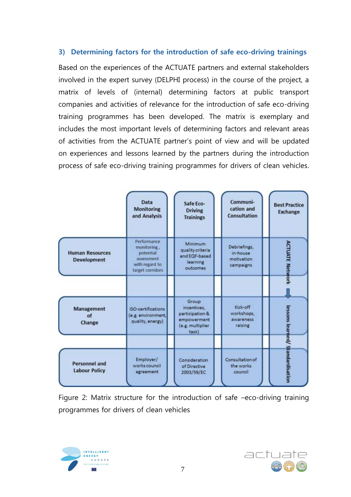# <span id="page-7-0"></span>**3) Determining factors for the introduction of safe eco-driving trainings**

Based on the experiences of the ACTUATE partners and external stakeholders involved in the expert survey (DELPHI process) in the course of the project, a matrix of levels of (internal) determining factors at public transport companies and activities of relevance for the introduction of safe eco-driving training programmes has been developed. The matrix is exemplary and includes the most important levels of determining factors and relevant areas of activities from the ACTUATE partner's point of view and will be updated on experiences and lessons learned by the partners during the introduction process of safe eco-driving training programmes for drivers of clean vehicles.

|                                              | Data<br><b>Monitoring</b><br>and Analysis                                                    | Safe Eco-<br><b>Driving</b><br><b>Trainings</b>                                     | Communi-<br>cation and<br><b>Consultation</b>       | <b>Best Practice</b><br><b>Exchange</b> |
|----------------------------------------------|----------------------------------------------------------------------------------------------|-------------------------------------------------------------------------------------|-----------------------------------------------------|-----------------------------------------|
| <b>Human Resources</b><br><b>Development</b> | Performance.<br>monitoring.<br>potential<br>assessment<br>with regard to<br>target corridors | Minimum<br>quality criteria<br>and EQF-based<br>learning<br>outcomes                | Debriefings,<br>in-house<br>motivation<br>campaigns | <b>ACTUATE Network</b>                  |
| Management<br>of<br>Change                   | ISO-certifications<br>(e.g. environment,<br>quality, energy)                                 | Group<br>incentives,<br>participation &<br>empowerment<br>(e.g. multiplier<br>task) | Kick-off<br>workshops,<br>awareness<br>raising      |                                         |
| <b>Personnel and</b><br><b>Labour Policy</b> | Employer/<br>works council<br>agreement                                                      | Consideration<br>of Directive<br>2003/59/EC                                         | Consultation of<br>the works<br>council             | lessons learned/ Standardisation        |

Figure 2: Matrix structure for the introduction of safe –eco-driving training programmes for drivers of clean vehicles

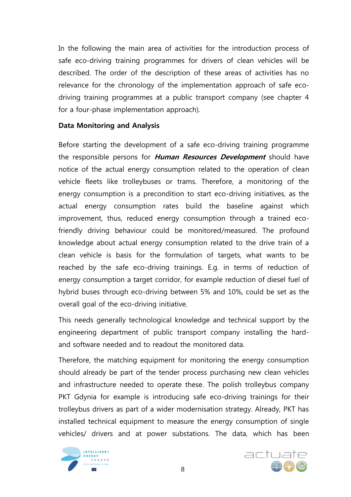In the following the main area of activities for the introduction process of safe eco-driving training programmes for drivers of clean vehicles will be described. The order of the description of these areas of activities has no relevance for the chronology of the implementation approach of safe ecodriving training programmes at a public transport company (see chapter 4 for a four-phase implementation approach).

#### **Data Monitoring and Analysis**

Before starting the development of a safe eco-driving training programme the responsible persons for **Human Resources Development** should have notice of the actual energy consumption related to the operation of clean vehicle fleets like trolleybuses or trams. Therefore, a monitoring of the energy consumption is a precondition to start eco-driving initiatives, as the actual energy consumption rates build the baseline against which improvement, thus, reduced energy consumption through a trained ecofriendly driving behaviour could be monitored/measured. The profound knowledge about actual energy consumption related to the drive train of a clean vehicle is basis for the formulation of targets, what wants to be reached by the safe eco-driving trainings. E.g. in terms of reduction of energy consumption a target corridor, for example reduction of diesel fuel of hybrid buses through eco-driving between 5% and 10%, could be set as the overall goal of the eco-driving initiative.

This needs generally technological knowledge and technical support by the engineering department of public transport company installing the hardand software needed and to readout the monitored data.

Therefore, the matching equipment for monitoring the energy consumption should already be part of the tender process purchasing new clean vehicles and infrastructure needed to operate these. The polish trolleybus company PKT Gdynia for example is introducing safe eco-driving trainings for their trolleybus drivers as part of a wider modernisation strategy. Already, PKT has installed technical equipment to measure the energy consumption of single vehicles/ drivers and at power substations. The data, which has been



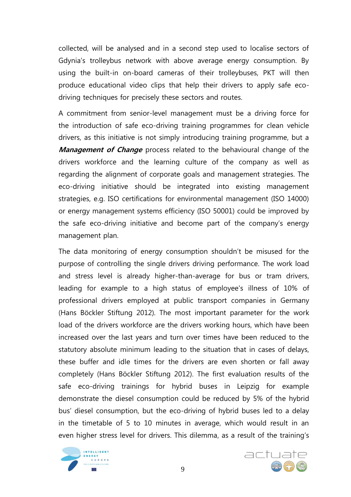collected, will be analysed and in a second step used to localise sectors of Gdynia's trolleybus network with above average energy consumption. By using the built-in on-board cameras of their trolleybuses, PKT will then produce educational video clips that help their drivers to apply safe ecodriving techniques for precisely these sectors and routes.

A commitment from senior-level management must be a driving force for the introduction of safe eco-driving training programmes for clean vehicle drivers, as this initiative is not simply introducing training programme, but a **Management of Change** process related to the behavioural change of the drivers workforce and the learning culture of the company as well as regarding the alignment of corporate goals and management strategies. The eco-driving initiative should be integrated into existing management strategies, e.g. ISO certifications for environmental management (ISO 14000) or energy management systems efficiency (ISO 50001) could be improved by the safe eco-driving initiative and become part of the company's energy management plan.

The data monitoring of energy consumption shouldn't be misused for the purpose of controlling the single drivers driving performance. The work load and stress level is already higher-than-average for bus or tram drivers, leading for example to a high status of employee's illness of 10% of professional drivers employed at public transport companies in Germany (Hans Böckler Stiftung 2012). The most important parameter for the work load of the drivers workforce are the drivers working hours, which have been increased over the last years and turn over times have been reduced to the statutory absolute minimum leading to the situation that in cases of delays, these buffer and idle times for the drivers are even shorten or fall away completely (Hans Böckler Stiftung 2012). The first evaluation results of the safe eco-driving trainings for hybrid buses in Leipzig for example demonstrate the diesel consumption could be reduced by 5% of the hybrid bus' diesel consumption, but the eco-driving of hybrid buses led to a delay in the timetable of 5 to 10 minutes in average, which would result in an even higher stress level for drivers. This dilemma, as a result of the training's



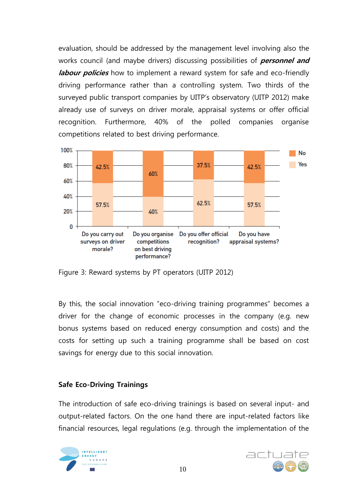evaluation, should be addressed by the management level involving also the works council (and maybe drivers) discussing possibilities of **personnel and labour policies** how to implement a reward system for safe and eco-friendly driving performance rather than a controlling system. Two thirds of the surveyed public transport companies by UITP's observatory (UITP 2012) make already use of surveys on driver morale, appraisal systems or offer official recognition. Furthermore, 40% of the polled companies organise competitions related to best driving performance.



Figure 3: Reward systems by PT operators (UITP 2012)

By this, the social innovation "eco-driving training programmes" becomes a driver for the change of economic processes in the company (e.g. new bonus systems based on reduced energy consumption and costs) and the costs for setting up such a training programme shall be based on cost savings for energy due to this social innovation.

### **Safe Eco-Driving Trainings**

The introduction of safe eco-driving trainings is based on several input- and output-related factors. On the one hand there are input-related factors like financial resources, legal regulations (e.g. through the implementation of the



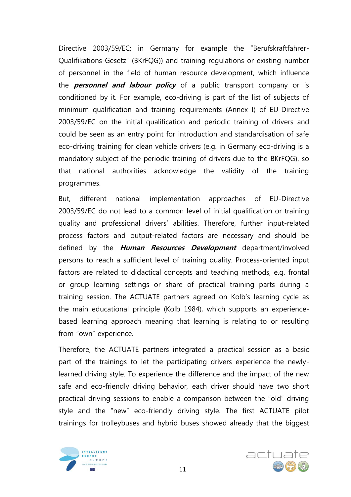Directive 2003/59/EC; in Germany for example the "Berufskraftfahrer-Qualifikations-Gesetz" (BKrFQG)) and training regulations or existing number of personnel in the field of human resource development, which influence the **personnel and labour policy** of a public transport company or is conditioned by it. For example, eco-driving is part of the list of subjects of minimum qualification and training requirements (Annex I) of EU-Directive 2003/59/EC on the initial qualification and periodic training of drivers and could be seen as an entry point for introduction and standardisation of safe eco-driving training for clean vehicle drivers (e.g. in Germany eco-driving is a mandatory subject of the periodic training of drivers due to the BKrFQG), so that national authorities acknowledge the validity of the training programmes.

But, different national implementation approaches of EU-Directive 2003/59/EC do not lead to a common level of initial qualification or training quality and professional drivers' abilities. Therefore, further input-related process factors and output-related factors are necessary and should be defined by the **Human Resources Development** department/involved persons to reach a sufficient level of training quality. Process-oriented input factors are related to didactical concepts and teaching methods, e.g. frontal or group learning settings or share of practical training parts during a training session. The ACTUATE partners agreed on Kolb's learning cycle as the main educational principle (Kolb 1984), which supports an experiencebased learning approach meaning that learning is relating to or resulting from "own" experience.

Therefore, the ACTUATE partners integrated a practical session as a basic part of the trainings to let the participating drivers experience the newlylearned driving style. To experience the difference and the impact of the new safe and eco-friendly driving behavior, each driver should have two short practical driving sessions to enable a comparison between the "old" driving style and the "new" eco-friendly driving style. The first ACTUATE pilot trainings for trolleybuses and hybrid buses showed already that the biggest



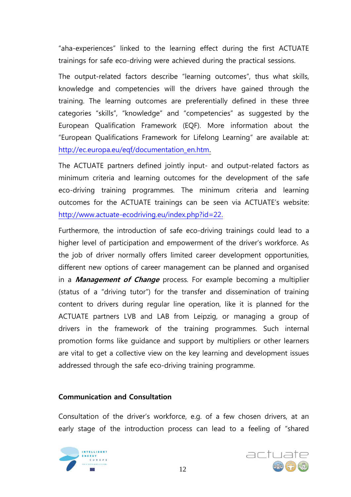"aha-experiences" linked to the learning effect during the first ACTUATE trainings for safe eco-driving were achieved during the practical sessions.

The output-related factors describe "learning outcomes", thus what skills, knowledge and competencies will the drivers have gained through the training. The learning outcomes are preferentially defined in these three categories "skills", "knowledge" and "competencies" as suggested by the European Qualification Framework (EQF). More information about the "European Qualifications Framework for Lifelong Learning" are available at: http://ec.europa.eu/eqf/documentation\_en.htm.

The ACTUATE partners defined jointly input- and output-related factors as minimum criteria and learning outcomes for the development of the safe eco-driving training programmes. The minimum criteria and learning outcomes for the ACTUATE trainings can be seen via ACTUATE's website: <http://www.actuate-ecodriving.eu/index.php?id=22>.

Furthermore, the introduction of safe eco-driving trainings could lead to a higher level of participation and empowerment of the driver's workforce. As the job of driver normally offers limited career development opportunities, different new options of career management can be planned and organised in a **Management of Change** process. For example becoming a multiplier (status of a "driving tutor") for the transfer and dissemination of training content to drivers during regular line operation, like it is planned for the ACTUATE partners LVB and LAB from Leipzig, or managing a group of drivers in the framework of the training programmes. Such internal promotion forms like guidance and support by multipliers or other learners are vital to get a collective view on the key learning and development issues addressed through the safe eco-driving training programme.

#### **Communication and Consultation**

Consultation of the driver's workforce, e.g. of a few chosen drivers, at an early stage of the introduction process can lead to a feeling of "shared



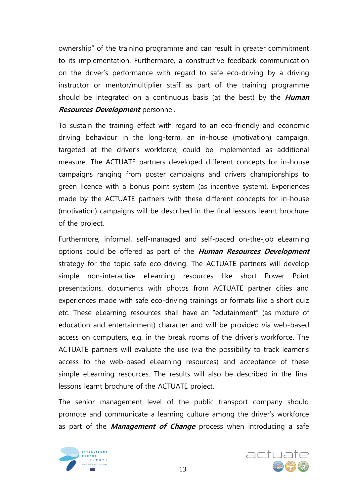ownership" of the training programme and can result in greater commitment to its implementation. Furthermore, a constructive feedback communication on the driver's performance with regard to safe eco-driving by a driving instructor or mentor/multiplier staff as part of the training programme should be integrated on a continuous basis (at the best) by the **Human Resources Development** personnel.

To sustain the training effect with regard to an eco-friendly and economic driving behaviour in the long-term, an in-house (motivation) campaign, targeted at the driver's workforce, could be implemented as additional measure. The ACTUATE partners developed different concepts for in-house campaigns ranging from poster campaigns and drivers championships to green licence with a bonus point system (as incentive system). Experiences made by the ACTUATE partners with these different concepts for in-house (motivation) campaigns will be described in the final lessons learnt brochure of the project.

Furthermore, informal, self-managed and self-paced on-the-job eLearning options could be offered as part of the **Human Resources Development** strategy for the topic safe eco-driving. The ACTUATE partners will develop simple non-interactive eLearning resources like short Power Point presentations, documents with photos from ACTUATE partner cities and experiences made with safe eco-driving trainings or formats like a short quiz etc. These eLearning resources shall have an "edutainment" (as mixture of education and entertainment) character and will be provided via web-based access on computers, e.g. in the break rooms of the driver's workforce. The ACTUATE partners will evaluate the use (via the possibility to track learner's access to the web-based eLearning resources) and acceptance of these simple eLearning resources. The results will also be described in the final lessons learnt brochure of the ACTUATE project.

The senior management level of the public transport company should promote and communicate a learning culture among the driver's workforce as part of the **Management of Change** process when introducing a safe



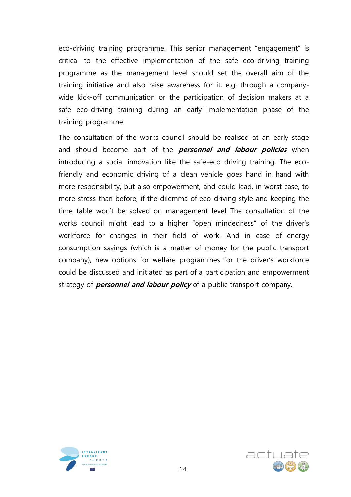eco-driving training programme. This senior management "engagement" is critical to the effective implementation of the safe eco-driving training programme as the management level should set the overall aim of the training initiative and also raise awareness for it, e.g. through a companywide kick-off communication or the participation of decision makers at a safe eco-driving training during an early implementation phase of the training programme.

The consultation of the works council should be realised at an early stage and should become part of the **personnel and labour policies** when introducing a social innovation like the safe-eco driving training. The ecofriendly and economic driving of a clean vehicle goes hand in hand with more responsibility, but also empowerment, and could lead, in worst case, to more stress than before, if the dilemma of eco-driving style and keeping the time table won't be solved on management level The consultation of the works council might lead to a higher "open mindedness" of the driver's workforce for changes in their field of work. And in case of energy consumption savings (which is a matter of money for the public transport company), new options for welfare programmes for the driver's workforce could be discussed and initiated as part of a participation and empowerment strategy of **personnel and labour policy** of a public transport company.



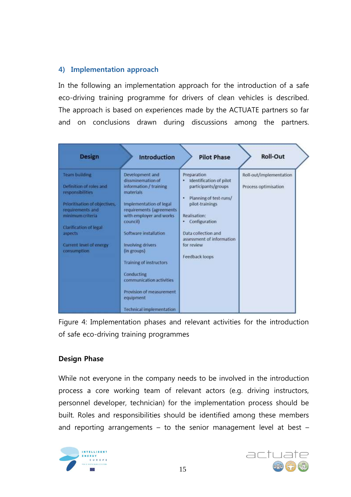# <span id="page-15-0"></span>**4) Implementation approach**

In the following an implementation approach for the introduction of a safe eco-driving training programme for drivers of clean vehicles is described. The approach is based on experiences made by the ACTUATE partners so far and on conclusions drawn during discussions among the partners.

| <b>Design</b>                                                                                                                                                                                                                      | <b>Introduction</b>                                                                                                                                                                                                                                                                                                                                                                            | <b>Pilot Phase</b>                                                                                                                                                                                                                                     | <b>Roll-Out</b>                                 |
|------------------------------------------------------------------------------------------------------------------------------------------------------------------------------------------------------------------------------------|------------------------------------------------------------------------------------------------------------------------------------------------------------------------------------------------------------------------------------------------------------------------------------------------------------------------------------------------------------------------------------------------|--------------------------------------------------------------------------------------------------------------------------------------------------------------------------------------------------------------------------------------------------------|-------------------------------------------------|
| <b>Team building</b><br>Definition of roles and<br><i>responsibilities</i><br>Prioritisation of objectives,<br>requirements and<br>minimum criteria<br>Clarification of legal<br>aspects<br>Current level of energy<br>consumption | Development and<br>dissminemation of<br>information / training<br><i>materials</i><br>Implementation of legal<br>requirements (agreements<br>with employer and works<br>council)<br>Software installation<br>Involving drivers<br>(in groups)<br>Training of instructors<br>Conducting<br>communication activities<br>Provision of measurement<br>equipment<br><b>Technical implementation</b> | Preparation<br>Identification of pilot<br>٠<br>participants/groups<br>Planning of test-runs/<br>۰<br>pilot-trainings<br>Realisation:<br>Configuration<br>٠<br>Data collection and<br>assessment of information<br>for review.<br><b>Feedback loops</b> | Roll-out/implementation<br>Process optimisation |

Figure 4: Implementation phases and relevant activities for the introduction of safe eco-driving training programmes

### **Design Phase**

While not everyone in the company needs to be involved in the introduction process a core working team of relevant actors (e.g. driving instructors, personnel developer, technician) for the implementation process should be built. Roles and responsibilities should be identified among these members and reporting arrangements – to the senior management level at best –



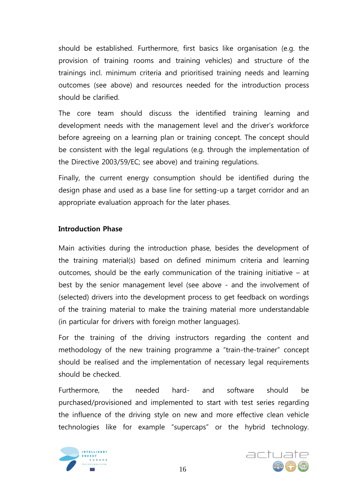should be established. Furthermore, first basics like organisation (e.g. the provision of training rooms and training vehicles) and structure of the trainings incl. minimum criteria and prioritised training needs and learning outcomes (see above) and resources needed for the introduction process should be clarified.

The core team should discuss the identified training learning and development needs with the management level and the driver's workforce before agreeing on a learning plan or training concept. The concept should be consistent with the legal regulations (e.g. through the implementation of the Directive 2003/59/EC; see above) and training regulations.

Finally, the current energy consumption should be identified during the design phase and used as a base line for setting-up a target corridor and an appropriate evaluation approach for the later phases.

### **Introduction Phase**

Main activities during the introduction phase, besides the development of the training material(s) based on defined minimum criteria and learning outcomes, should be the early communication of the training initiative – at best by the senior management level (see above - and the involvement of (selected) drivers into the development process to get feedback on wordings of the training material to make the training material more understandable (in particular for drivers with foreign mother languages).

For the training of the driving instructors regarding the content and methodology of the new training programme a "train-the-trainer" concept should be realised and the implementation of necessary legal requirements should be checked.

Furthermore, the needed hard- and software should be purchased/provisioned and implemented to start with test series regarding the influence of the driving style on new and more effective clean vehicle technologies like for example "supercaps" or the hybrid technology.



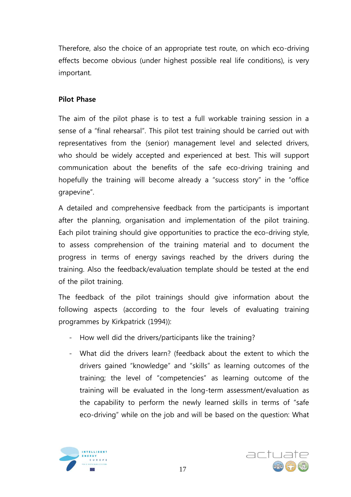Therefore, also the choice of an appropriate test route, on which eco-driving effects become obvious (under highest possible real life conditions), is very important.

# **Pilot Phase**

The aim of the pilot phase is to test a full workable training session in a sense of a "final rehearsal". This pilot test training should be carried out with representatives from the (senior) management level and selected drivers, who should be widely accepted and experienced at best. This will support communication about the benefits of the safe eco-driving training and hopefully the training will become already a "success story" in the "office grapevine".

A detailed and comprehensive feedback from the participants is important after the planning, organisation and implementation of the pilot training. Each pilot training should give opportunities to practice the eco-driving style, to assess comprehension of the training material and to document the progress in terms of energy savings reached by the drivers during the training. Also the feedback/evaluation template should be tested at the end of the pilot training.

The feedback of the pilot trainings should give information about the following aspects (according to the four levels of evaluating training programmes by Kirkpatrick (1994)):

- How well did the drivers/participants like the training?
- What did the drivers learn? (feedback about the extent to which the drivers gained "knowledge" and "skills" as learning outcomes of the training; the level of "competencies" as learning outcome of the training will be evaluated in the long-term assessment/evaluation as the capability to perform the newly learned skills in terms of "safe eco-driving" while on the job and will be based on the question: What



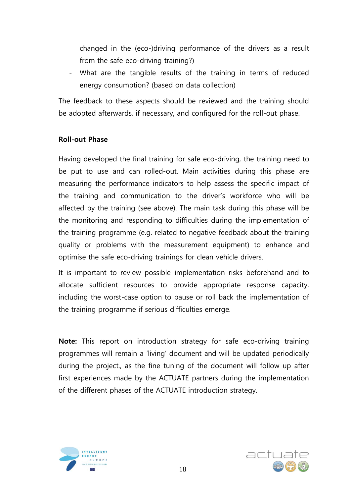changed in the (eco-)driving performance of the drivers as a result from the safe eco-driving training?)

- What are the tangible results of the training in terms of reduced energy consumption? (based on data collection)

The feedback to these aspects should be reviewed and the training should be adopted afterwards, if necessary, and configured for the roll-out phase.

### **Roll-out Phase**

Having developed the final training for safe eco-driving, the training need to be put to use and can rolled-out. Main activities during this phase are measuring the performance indicators to help assess the specific impact of the training and communication to the driver's workforce who will be affected by the training (see above). The main task during this phase will be the monitoring and responding to difficulties during the implementation of the training programme (e.g. related to negative feedback about the training quality or problems with the measurement equipment) to enhance and optimise the safe eco-driving trainings for clean vehicle drivers.

It is important to review possible implementation risks beforehand and to allocate sufficient resources to provide appropriate response capacity, including the worst-case option to pause or roll back the implementation of the training programme if serious difficulties emerge.

**Note:** This report on introduction strategy for safe eco-driving training programmes will remain a 'living' document and will be updated periodically during the project., as the fine tuning of the document will follow up after first experiences made by the ACTUATE partners during the implementation of the different phases of the ACTUATE introduction strategy.



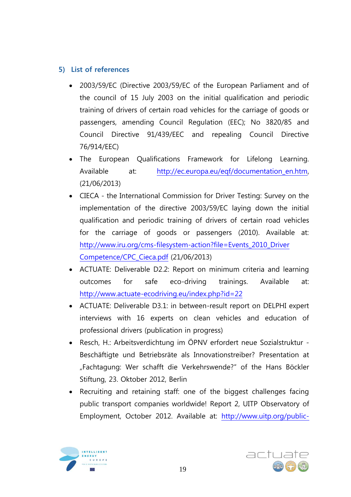# <span id="page-19-0"></span>**5) List of references**

- 2003/59/EC (Directive 2003/59/EC of the European Parliament and of the council of 15 July 2003 on the initial qualification and periodic training of drivers of certain road vehicles for the carriage of goods or passengers, amending Council Regulation (EEC); No 3820/85 and Council Directive 91/439/EEC and repealing Council Directive 76/914/EEC)
- The European Qualifications Framework for Lifelong Learning. Available at: [http://ec.europa.eu/eqf/documentation\\_en.htm,](http://ec.europa.eu/eqf/documentation_en.htm) (21/06/2013)
- CIECA the International Commission for Driver Testing: Survey on the implementation of the directive 2003/59/EC laying down the initial qualification and periodic training of drivers of certain road vehicles for the carriage of goods or passengers (2010). Available at: [http://www.iru.org/cms-filesystem-action?file=Events\\_2010\\_Driver](http://www.iru.org/cms-filesystem-action?file=Events_2010_Driver%20Competence/CPC_Cieca.pdf)  [Competence/CPC\\_Cieca.pdf](http://www.iru.org/cms-filesystem-action?file=Events_2010_Driver%20Competence/CPC_Cieca.pdf) (21/06/2013)
- ACTUATE: Deliverable D2.2: Report on minimum criteria and learning outcomes for safe eco-driving trainings. Available at: <http://www.actuate-ecodriving.eu/index.php?id=22>
- ACTUATE: Deliverable D3.1: in between-result report on DELPHI expert interviews with 16 experts on clean vehicles and education of professional drivers (publication in progress)
- Resch, H.: Arbeitsverdichtung im ÖPNV erfordert neue Sozialstruktur Beschäftigte und Betriebsräte als Innovationstreiber? Presentation at "Fachtagung: Wer schafft die Verkehrswende?" of the Hans Böckler Stiftung, 23. Oktober 2012, Berlin
- Recruiting and retaining staff: one of the biggest challenges facing public transport companies worldwide! Report 2, UITP Observatory of Employment, October 2012. Available at: [http://www.uitp.org/public-](http://www.uitp.org/public-transport/business_human/pdf/Observatory_of_Employment_Report2_2012.pdf)